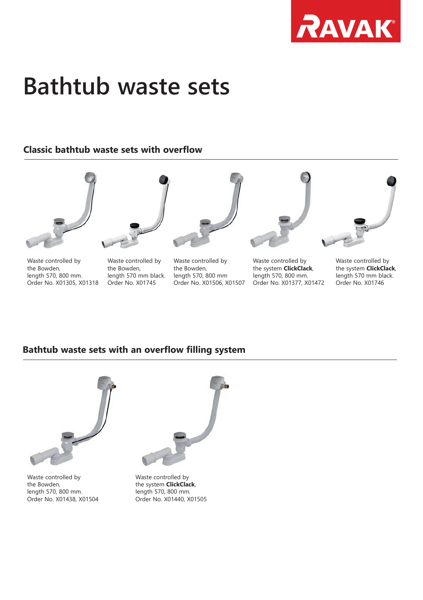

## **Bathtub waste sets**

## **Classic bathtub waste sets with overflow**







Waste controlled by the Bowden, length 570, 800 mm. Order No. X01305, X01318

length 570, 800 mm. Order No. X01438, X01504

Waste controlled by the Bowden, length 570 mm black. Order No. X01745

Waste controlled by the Bowden, length 570, 800 mm Order No. X01506, X01507



Waste controlled by the system **ClickClack**, length 570, 800 mm. Order No. X01377, X01472



Waste controlled by the system **ClickClack**, length 570 mm black. Order No. X01746

## **Bathtub waste sets with an overflow filling system**



the system **ClickClack**, length 570, 800 mm. Order No. X01440, X01505